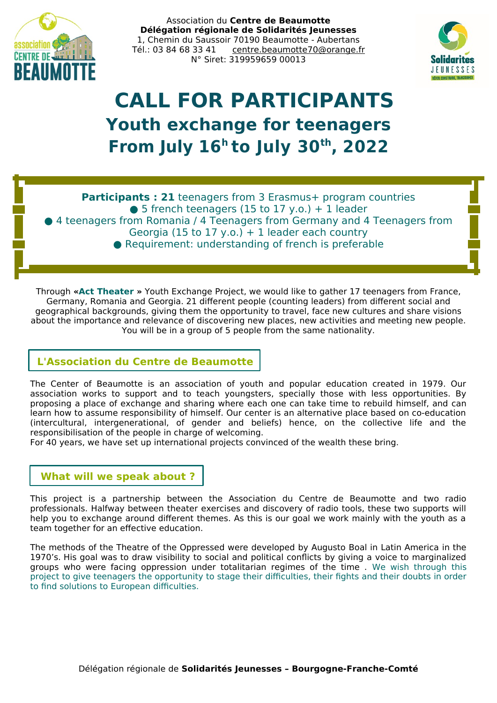

Association du **Centre de Beaumotte Délégation régionale de Solidarités Jeunesses** 1, Chemin du Saussoir 70190 Beaumotte - Aubertans Tél.: 03 84 68 33 41 [centre.beaumotte70@orange.fr](mailto:centre.beaumotte70@orange.fr) N° Siret: 319959659 00013



# **CALL FOR PARTICIPANTS Youth exchange for teenagers From July 16<sup>h</sup>to July 30th , 2022**

**Participants : 21** teenagers from 3 Erasmus+ program countries  $\bullet$  5 french teenagers (15 to 17 y.o.) + 1 leader ● 4 teenagers from Romania / 4 Teenagers from Germany and 4 Teenagers from Georgia (15 to 17 y.o.)  $+$  1 leader each country  $\bullet$  Requirement: understanding of french is preferable

Through **«Act Theater »** Youth Exchange Project, we would like to gather 17 teenagers from France, Germany, Romania and Georgia. 21 different people (counting leaders) from different social and geographical backgrounds, giving them the opportunity to travel, face new cultures and share visions about the importance and relevance of discovering new places, new activities and meeting new people. You will be in a group of 5 people from the same nationality.

## **L'Association du Centre de Beaumotte**

The Center of Beaumotte is an association of youth and popular education created in 1979. Our association works to support and to teach youngsters, specially those with less opportunities. By proposing a place of exchange and sharing where each one can take time to rebuild himself, and can learn how to assume responsibility of himself. Our center is an alternative place based on co-education (intercultural, intergenerational, of gender and beliefs) hence, on the collective life and the responsibilisation of the people in charge of welcoming.

For 40 years, we have set up international projects convinced of the wealth these bring.

## **What will we speak about ?**

This project is a partnership between the Association du Centre de Beaumotte and two radio professionals. Halfway between theater exercises and discovery of radio tools, these two supports will help you to exchange around different themes. As this is our goal we work mainly with the youth as a team together for an effective education.

The methods of the Theatre of the Oppressed were developed by Augusto Boal in Latin America in the 1970's. His goal was to draw visibility to social and political conflicts by giving a voice to marginalized groups who were facing oppression under totalitarian regimes of the time . We wish through this project to give teenagers the opportunity to stage their difficulties, their fights and their doubts in order to find solutions to European difficulties.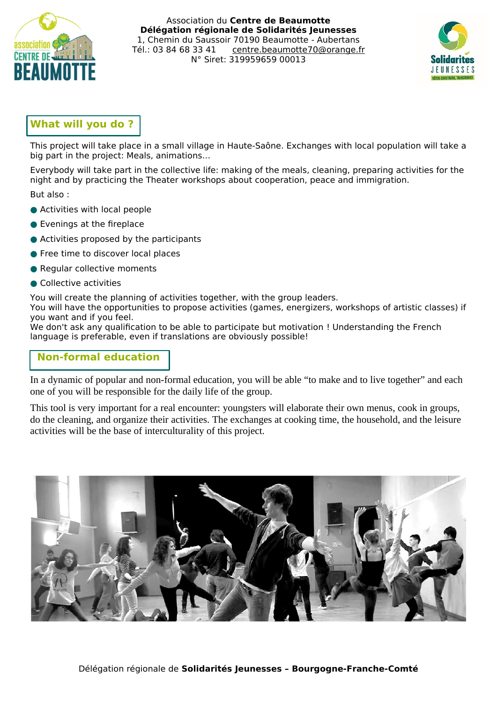

Association du **Centre de Beaumotte Délégation régionale de Solidarités Jeunesses** 1, Chemin du Saussoir 70190 Beaumotte - Aubertans Tél.: 03 84 68 33 41 [centre.beaumotte70@orange.fr](mailto:centre.beaumotte70@orange.fr) N° Siret: 319959659 00013



## **What will you do ?**

This project will take place in a small village in Haute-Saône. Exchanges with local population will take a big part in the project: Meals, animations…

Everybody will take part in the collective life: making of the meals, cleaning, preparing activities for the night and by practicing the Theater workshops about cooperation, peace and immigration.

But also :

- Activities with local people
- Evenings at the fireplace
- Activities proposed by the participants
- Free time to discover local places
- Regular collective moments
- Collective activities

You will create the planning of activities together, with the group leaders.

You will have the opportunities to propose activities (games, energizers, workshops of artistic classes) if you want and if you feel.

We don't ask any qualification to be able to participate but motivation ! Understanding the French language is preferable, even if translations are obviously possible!

## **Non-formal education**

In a dynamic of popular and non-formal education, you will be able "to make and to live together" and each one of you will be responsible for the daily life of the group.

This tool is very important for a real encounter: youngsters will elaborate their own menus, cook in groups, do the cleaning, and organize their activities. The exchanges at cooking time, the household, and the leisure activities will be the base of interculturality of this project.